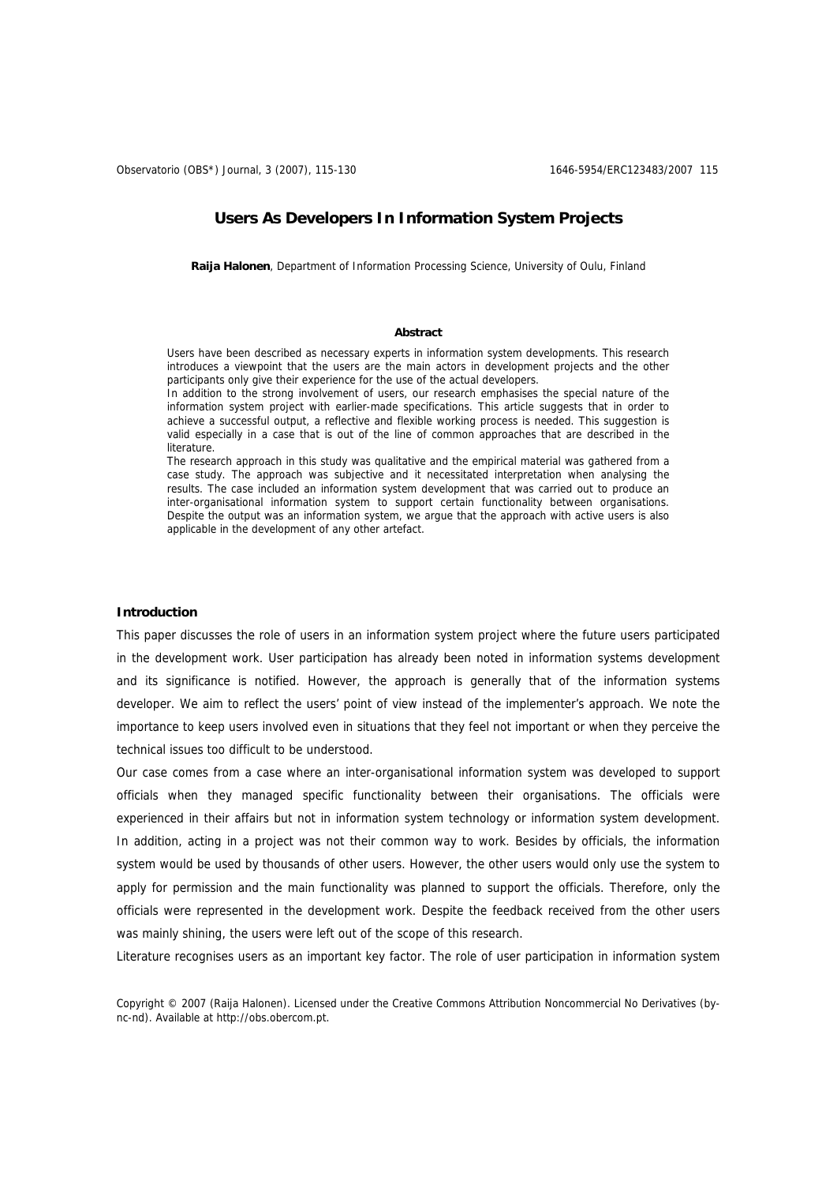Observatorio (OBS\*) Journal, 3 (2007), 115-130 1646-5954/ERC123483/2007 115

# **Users As Developers In Information System Projects**

**Raija Halonen**, Department of Information Processing Science, University of Oulu, Finland

## **Abstract**

Users have been described as necessary experts in information system developments. This research introduces a viewpoint that the users are the main actors in development projects and the other participants only give their experience for the use of the actual developers.

In addition to the strong involvement of users, our research emphasises the special nature of the information system project with earlier-made specifications. This article suggests that in order to achieve a successful output, a reflective and flexible working process is needed. This suggestion is valid especially in a case that is out of the line of common approaches that are described in the literature.

The research approach in this study was qualitative and the empirical material was gathered from a case study. The approach was subjective and it necessitated interpretation when analysing the results. The case included an information system development that was carried out to produce an inter-organisational information system to support certain functionality between organisations. Despite the output was an information system, we argue that the approach with active users is also applicable in the development of any other artefact.

## **Introduction**

This paper discusses the role of users in an information system project where the future users participated in the development work. User participation has already been noted in information systems development and its significance is notified. However, the approach is generally that of the information systems developer. We aim to reflect the users' point of view instead of the implementer's approach. We note the importance to keep users involved even in situations that they feel not important or when they perceive the technical issues too difficult to be understood.

Our case comes from a case where an inter-organisational information system was developed to support officials when they managed specific functionality between their organisations. The officials were experienced in their affairs but not in information system technology or information system development. In addition, acting in a project was not their common way to work. Besides by officials, the information system would be used by thousands of other users. However, the other users would only use the system to apply for permission and the main functionality was planned to support the officials. Therefore, only the officials were represented in the development work. Despite the feedback received from the other users was mainly shining, the users were left out of the scope of this research.

Literature recognises users as an important key factor. The role of user participation in information system

Copyright © 2007 (Raija Halonen). Licensed under the Creative Commons Attribution Noncommercial No Derivatives (bync-nd). Available at http://obs.obercom.pt.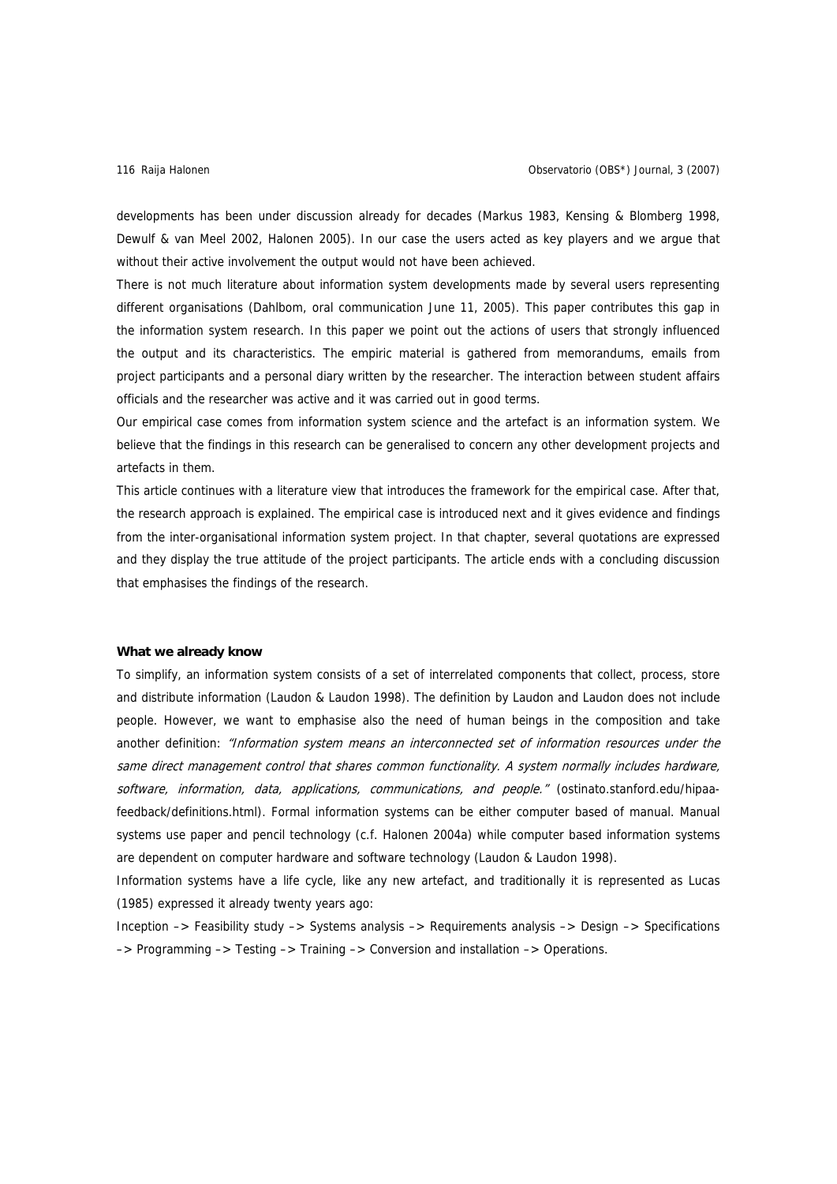developments has been under discussion already for decades (Markus 1983, Kensing & Blomberg 1998, Dewulf & van Meel 2002, Halonen 2005). In our case the users acted as key players and we argue that without their active involvement the output would not have been achieved.

There is not much literature about information system developments made by several users representing different organisations (Dahlbom, oral communication June 11, 2005). This paper contributes this gap in the information system research. In this paper we point out the actions of users that strongly influenced the output and its characteristics. The empiric material is gathered from memorandums, emails from project participants and a personal diary written by the researcher. The interaction between student affairs officials and the researcher was active and it was carried out in good terms.

Our empirical case comes from information system science and the artefact is an information system. We believe that the findings in this research can be generalised to concern any other development projects and artefacts in them.

This article continues with a literature view that introduces the framework for the empirical case. After that, the research approach is explained. The empirical case is introduced next and it gives evidence and findings from the inter-organisational information system project. In that chapter, several quotations are expressed and they display the true attitude of the project participants. The article ends with a concluding discussion that emphasises the findings of the research.

### **What we already know**

To simplify, an information system consists of a set of interrelated components that collect, process, store and distribute information (Laudon & Laudon 1998). The definition by Laudon and Laudon does not include people. However, we want to emphasise also the need of human beings in the composition and take another definition: "Information system means an interconnected set of information resources under the same direct management control that shares common functionality. A system normally includes hardware, software, information, data, applications, communications, and people." (ostinato.stanford.edu/hipaafeedback/definitions.html). Formal information systems can be either computer based of manual. Manual systems use paper and pencil technology (c.f. Halonen 2004a) while computer based information systems are dependent on computer hardware and software technology (Laudon & Laudon 1998).

Information systems have a life cycle, like any new artefact, and traditionally it is represented as Lucas (1985) expressed it already twenty years ago:

Inception –> Feasibility study –> Systems analysis –> Requirements analysis –> Design –> Specifications –> Programming –> Testing –> Training –> Conversion and installation –> Operations.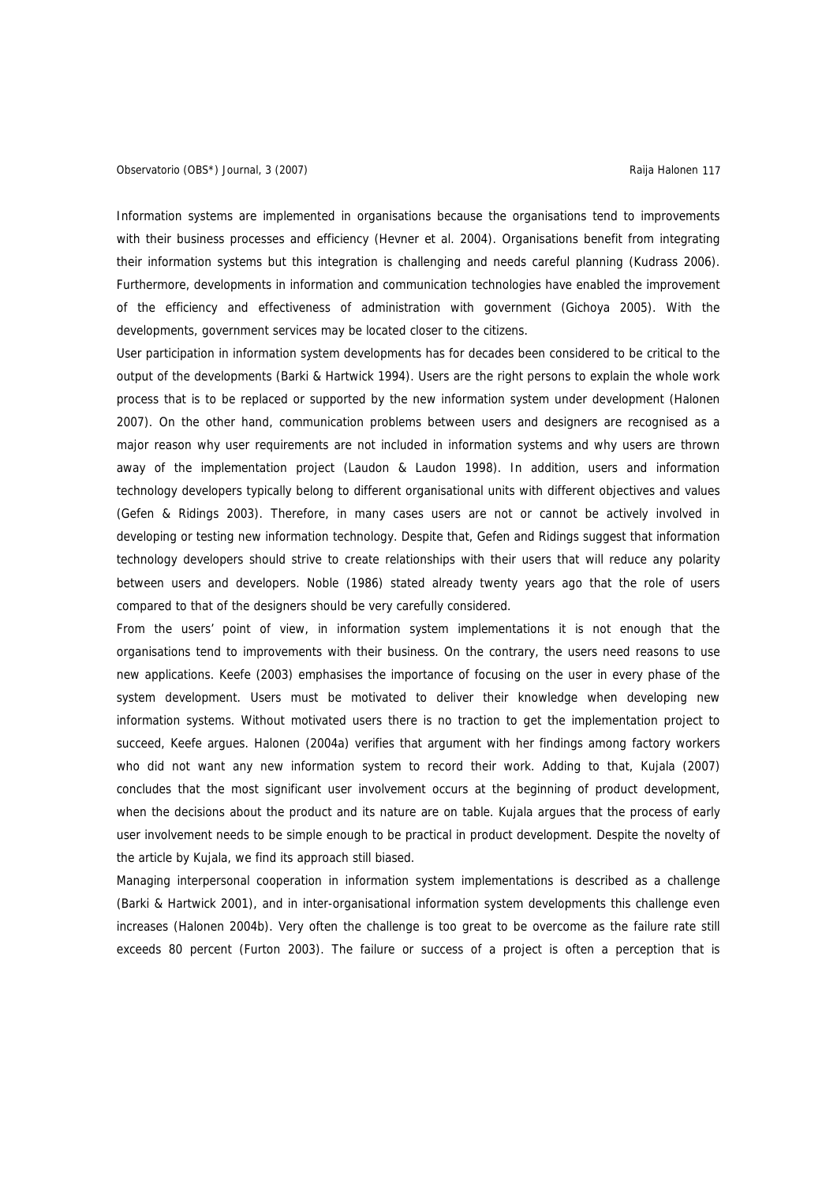## Observatorio (OBS\*) Journal, 3 (2007) Charles Controller and Controller and Controller and Controller and Controller and Controller and Controller and Controller and Controller and Controller and Controller and Controller

Information systems are implemented in organisations because the organisations tend to improvements with their business processes and efficiency (Hevner et al. 2004). Organisations benefit from integrating their information systems but this integration is challenging and needs careful planning (Kudrass 2006). Furthermore, developments in information and communication technologies have enabled the improvement of the efficiency and effectiveness of administration with government (Gichoya 2005). With the developments, government services may be located closer to the citizens.

User participation in information system developments has for decades been considered to be critical to the output of the developments (Barki & Hartwick 1994). Users are the right persons to explain the whole work process that is to be replaced or supported by the new information system under development (Halonen 2007). On the other hand, communication problems between users and designers are recognised as a major reason why user requirements are not included in information systems and why users are thrown away of the implementation project (Laudon & Laudon 1998). In addition, users and information technology developers typically belong to different organisational units with different objectives and values (Gefen & Ridings 2003). Therefore, in many cases users are not or cannot be actively involved in developing or testing new information technology. Despite that, Gefen and Ridings suggest that information technology developers should strive to create relationships with their users that will reduce any polarity between users and developers. Noble (1986) stated already twenty years ago that the role of users compared to that of the designers should be very carefully considered.

From the users' point of view, in information system implementations it is not enough that the organisations tend to improvements with their business. On the contrary, the users need reasons to use new applications. Keefe (2003) emphasises the importance of focusing on the user in every phase of the system development. Users must be motivated to deliver their knowledge when developing new information systems. Without motivated users there is no traction to get the implementation project to succeed, Keefe argues. Halonen (2004a) verifies that argument with her findings among factory workers who did not want any new information system to record their work. Adding to that, Kujala (2007) concludes that the most significant user involvement occurs at the beginning of product development, when the decisions about the product and its nature are on table. Kujala argues that the process of early user involvement needs to be simple enough to be practical in product development. Despite the novelty of the article by Kujala, we find its approach still biased.

Managing interpersonal cooperation in information system implementations is described as a challenge (Barki & Hartwick 2001), and in inter-organisational information system developments this challenge even increases (Halonen 2004b). Very often the challenge is too great to be overcome as the failure rate still exceeds 80 percent (Furton 2003). The failure or success of a project is often a perception that is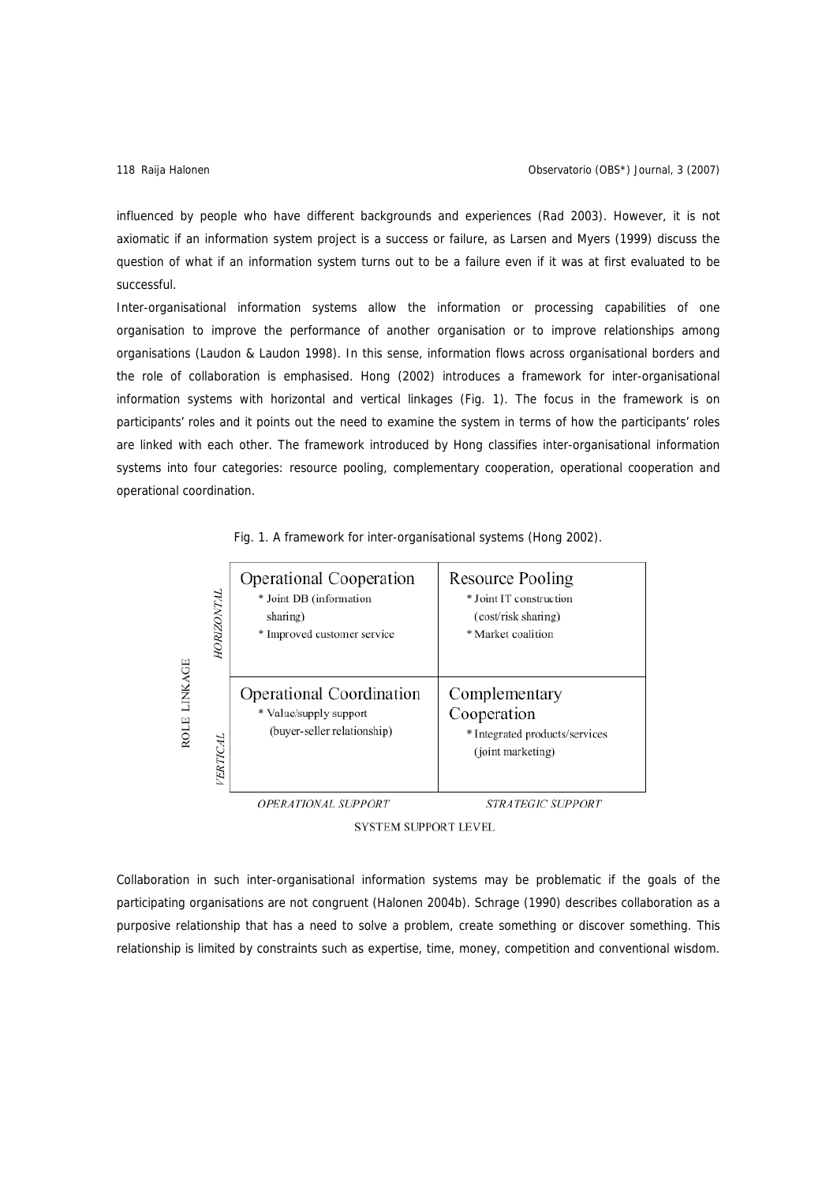influenced by people who have different backgrounds and experiences (Rad 2003). However, it is not axiomatic if an information system project is a success or failure, as Larsen and Myers (1999) discuss the question of what if an information system turns out to be a failure even if it was at first evaluated to be successful.

Inter-organisational information systems allow the information or processing capabilities of one organisation to improve the performance of another organisation or to improve relationships among organisations (Laudon & Laudon 1998). In this sense, information flows across organisational borders and the role of collaboration is emphasised. Hong (2002) introduces a framework for inter-organisational information systems with horizontal and vertical linkages (Fig. 1). The focus in the framework is on participants' roles and it points out the need to examine the system in terms of how the participants' roles are linked with each other. The framework introduced by Hong classifies inter-organisational information systems into four categories: resource pooling, complementary cooperation, operational cooperation and operational coordination.

|  | Fig. 1. A framework for inter-organisational systems (Hong 2002). |  |
|--|-------------------------------------------------------------------|--|
|  |                                                                   |  |

|                        | HORIZONTAL | <b>Operational Cooperation</b><br>* Joint DB (information<br>sharing)<br>* Improved customer service | Resource Pooling<br>* Joint IT construction<br>(cost/risk sharing)<br>* Market coalition |
|------------------------|------------|------------------------------------------------------------------------------------------------------|------------------------------------------------------------------------------------------|
| LINKAGE<br><b>ROLE</b> | VERTICAL   | Operational Coordination<br>* Value/supply support<br>(buyer-seller relationship)                    | Complementary<br>Cooperation<br>* Integrated products/services<br>(joint marketing)      |
|                        |            | <i>OPERATIONAL SUPPORT</i>                                                                           | <i>STRATEGIC SUPPORT</i>                                                                 |

SYSTEM SUPPORT LEVEL

Collaboration in such inter-organisational information systems may be problematic if the goals of the participating organisations are not congruent (Halonen 2004b). Schrage (1990) describes collaboration as a purposive relationship that has a need to solve a problem, create something or discover something. This relationship is limited by constraints such as expertise, time, money, competition and conventional wisdom.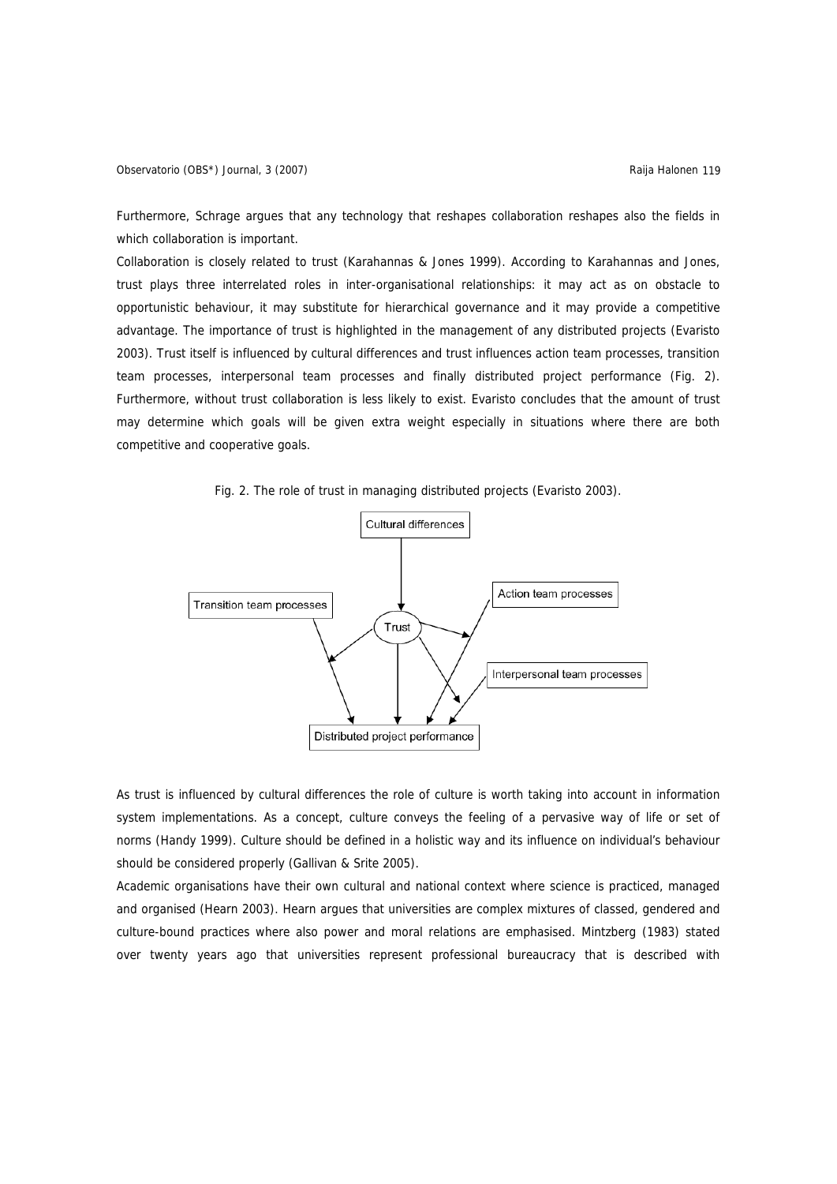Furthermore, Schrage argues that any technology that reshapes collaboration reshapes also the fields in which collaboration is important.

Collaboration is closely related to trust (Karahannas & Jones 1999). According to Karahannas and Jones, trust plays three interrelated roles in inter-organisational relationships: it may act as on obstacle to opportunistic behaviour, it may substitute for hierarchical governance and it may provide a competitive advantage. The importance of trust is highlighted in the management of any distributed projects (Evaristo 2003). Trust itself is influenced by cultural differences and trust influences action team processes, transition team processes, interpersonal team processes and finally distributed project performance (Fig. 2). Furthermore, without trust collaboration is less likely to exist. Evaristo concludes that the amount of trust may determine which goals will be given extra weight especially in situations where there are both competitive and cooperative goals.





As trust is influenced by cultural differences the role of culture is worth taking into account in information system implementations. As a concept, culture conveys the feeling of a pervasive way of life or set of norms (Handy 1999). Culture should be defined in a holistic way and its influence on individual's behaviour should be considered properly (Gallivan & Srite 2005).

Academic organisations have their own cultural and national context where science is practiced, managed and organised (Hearn 2003). Hearn argues that universities are complex mixtures of classed, gendered and culture-bound practices where also power and moral relations are emphasised. Mintzberg (1983) stated over twenty years ago that universities represent professional bureaucracy that is described with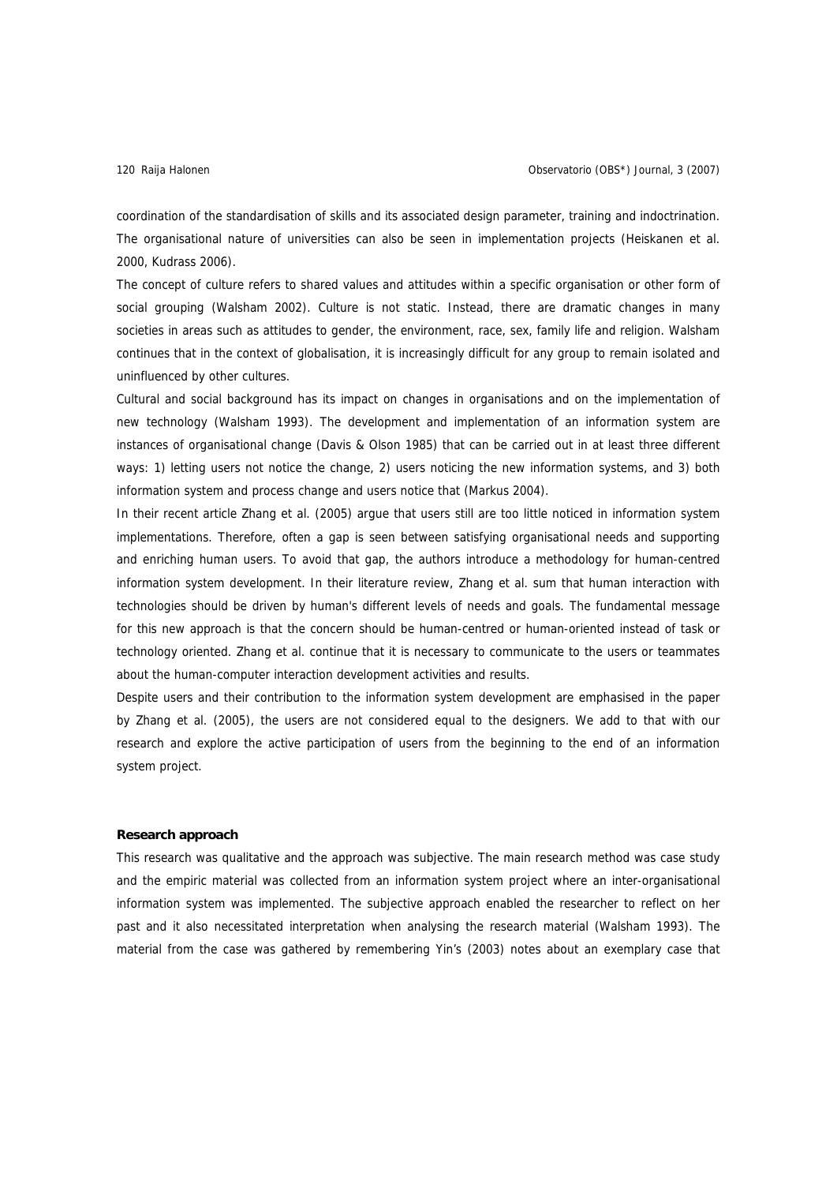coordination of the standardisation of skills and its associated design parameter, training and indoctrination. The organisational nature of universities can also be seen in implementation projects (Heiskanen et al. 2000, Kudrass 2006).

The concept of culture refers to shared values and attitudes within a specific organisation or other form of social grouping (Walsham 2002). Culture is not static. Instead, there are dramatic changes in many societies in areas such as attitudes to gender, the environment, race, sex, family life and religion. Walsham continues that in the context of globalisation, it is increasingly difficult for any group to remain isolated and uninfluenced by other cultures.

Cultural and social background has its impact on changes in organisations and on the implementation of new technology (Walsham 1993). The development and implementation of an information system are instances of organisational change (Davis & Olson 1985) that can be carried out in at least three different ways: 1) letting users not notice the change, 2) users noticing the new information systems, and 3) both information system and process change and users notice that (Markus 2004).

In their recent article Zhang et al. (2005) argue that users still are too little noticed in information system implementations. Therefore, often a gap is seen between satisfying organisational needs and supporting and enriching human users. To avoid that gap, the authors introduce a methodology for human-centred information system development. In their literature review, Zhang et al. sum that human interaction with technologies should be driven by human's different levels of needs and goals. The fundamental message for this new approach is that the concern should be human-centred or human-oriented instead of task or technology oriented. Zhang et al. continue that it is necessary to communicate to the users or teammates about the human-computer interaction development activities and results.

Despite users and their contribution to the information system development are emphasised in the paper by Zhang et al. (2005), the users are not considered equal to the designers. We add to that with our research and explore the active participation of users from the beginning to the end of an information system project.

### **Research approach**

This research was qualitative and the approach was subjective. The main research method was case study and the empiric material was collected from an information system project where an inter-organisational information system was implemented. The subjective approach enabled the researcher to reflect on her past and it also necessitated interpretation when analysing the research material (Walsham 1993). The material from the case was gathered by remembering Yin's (2003) notes about an exemplary case that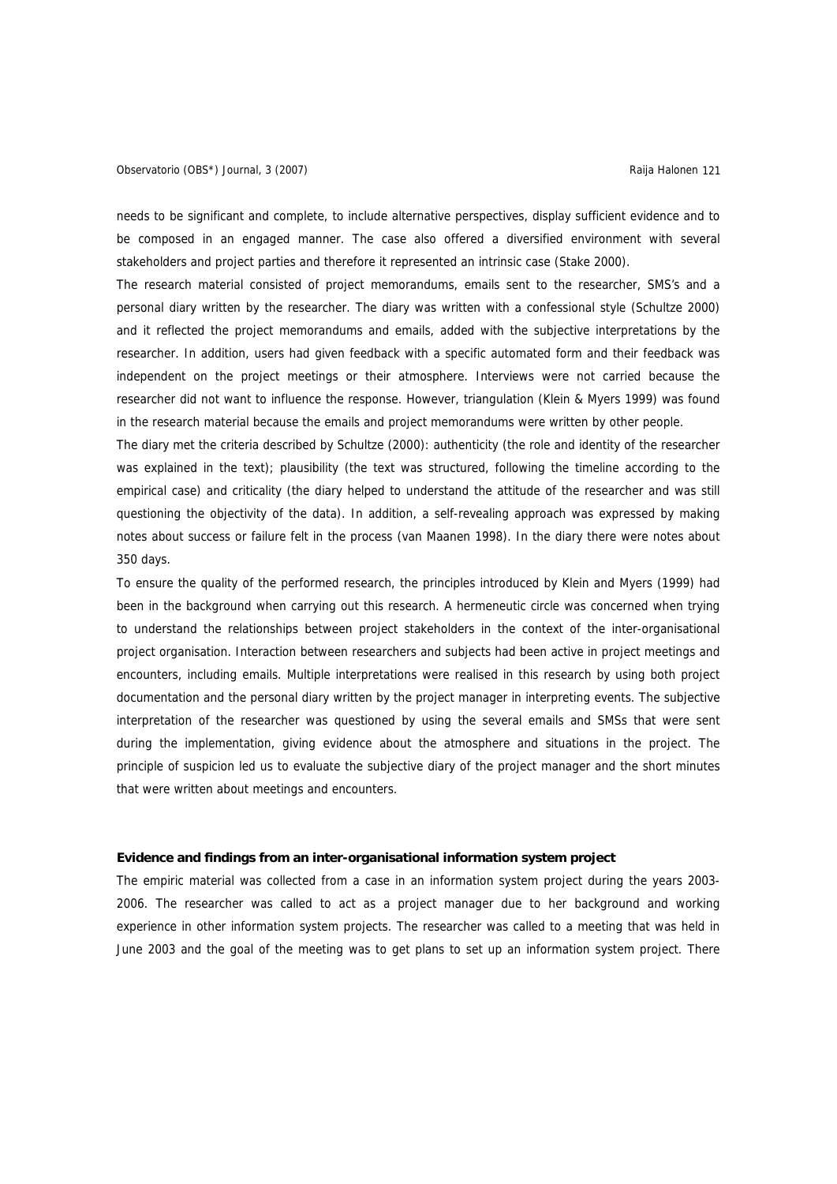needs to be significant and complete, to include alternative perspectives, display sufficient evidence and to be composed in an engaged manner. The case also offered a diversified environment with several stakeholders and project parties and therefore it represented an intrinsic case (Stake 2000).

The research material consisted of project memorandums, emails sent to the researcher, SMS's and a personal diary written by the researcher. The diary was written with a confessional style (Schultze 2000) and it reflected the project memorandums and emails, added with the subjective interpretations by the researcher. In addition, users had given feedback with a specific automated form and their feedback was independent on the project meetings or their atmosphere. Interviews were not carried because the researcher did not want to influence the response. However, triangulation (Klein & Myers 1999) was found in the research material because the emails and project memorandums were written by other people.

The diary met the criteria described by Schultze (2000): authenticity (the role and identity of the researcher was explained in the text); plausibility (the text was structured, following the timeline according to the empirical case) and criticality (the diary helped to understand the attitude of the researcher and was still questioning the objectivity of the data). In addition, a self-revealing approach was expressed by making notes about success or failure felt in the process (van Maanen 1998). In the diary there were notes about 350 days.

To ensure the quality of the performed research, the principles introduced by Klein and Myers (1999) had been in the background when carrying out this research. A hermeneutic circle was concerned when trying to understand the relationships between project stakeholders in the context of the inter-organisational project organisation. Interaction between researchers and subjects had been active in project meetings and encounters, including emails. Multiple interpretations were realised in this research by using both project documentation and the personal diary written by the project manager in interpreting events. The subjective interpretation of the researcher was questioned by using the several emails and SMSs that were sent during the implementation, giving evidence about the atmosphere and situations in the project. The principle of suspicion led us to evaluate the subjective diary of the project manager and the short minutes that were written about meetings and encounters.

# **Evidence and findings from an inter-organisational information system project**

The empiric material was collected from a case in an information system project during the years 2003- 2006. The researcher was called to act as a project manager due to her background and working experience in other information system projects. The researcher was called to a meeting that was held in June 2003 and the goal of the meeting was to get plans to set up an information system project. There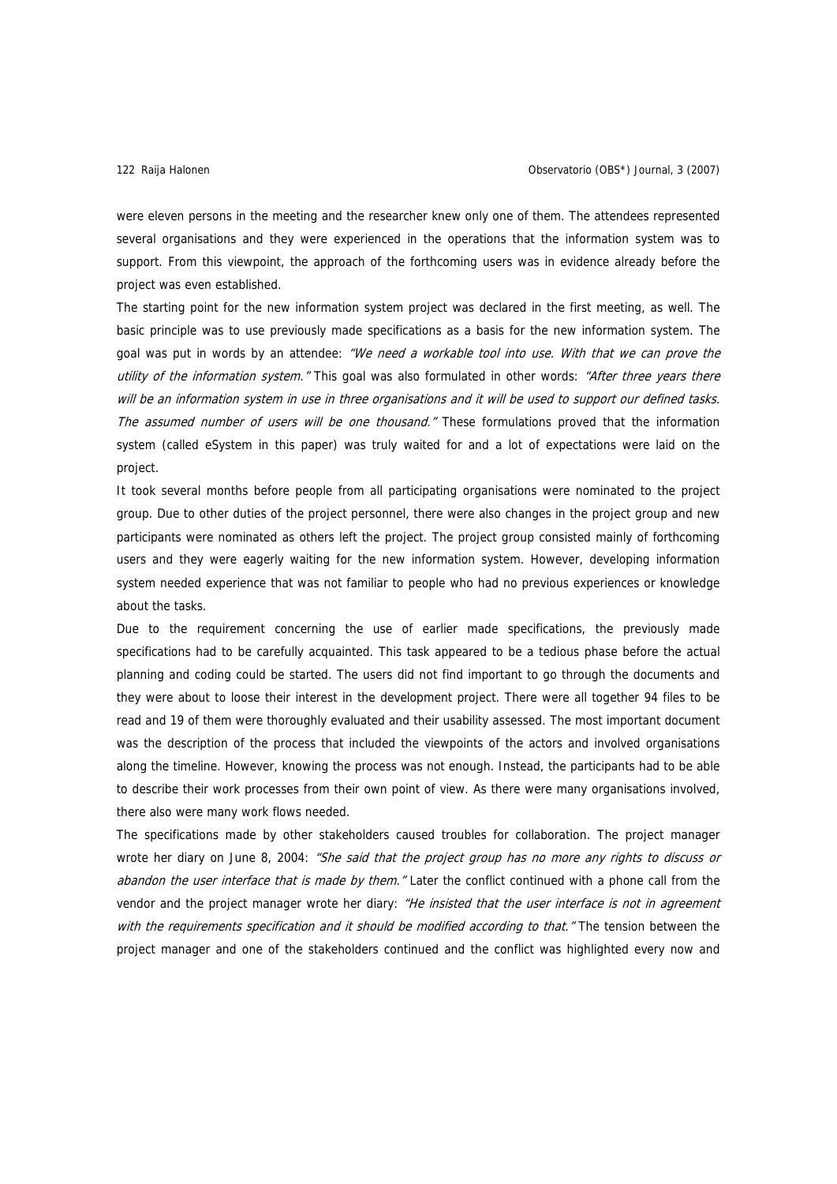were eleven persons in the meeting and the researcher knew only one of them. The attendees represented several organisations and they were experienced in the operations that the information system was to support. From this viewpoint, the approach of the forthcoming users was in evidence already before the project was even established.

The starting point for the new information system project was declared in the first meeting, as well. The basic principle was to use previously made specifications as a basis for the new information system. The goal was put in words by an attendee: "We need a workable tool into use. With that we can prove the utility of the information system." This goal was also formulated in other words: "After three years there will be an information system in use in three organisations and it will be used to support our defined tasks. The assumed number of users will be one thousand." These formulations proved that the information system (called eSystem in this paper) was truly waited for and a lot of expectations were laid on the project.

It took several months before people from all participating organisations were nominated to the project group. Due to other duties of the project personnel, there were also changes in the project group and new participants were nominated as others left the project. The project group consisted mainly of forthcoming users and they were eagerly waiting for the new information system. However, developing information system needed experience that was not familiar to people who had no previous experiences or knowledge about the tasks.

Due to the requirement concerning the use of earlier made specifications, the previously made specifications had to be carefully acquainted. This task appeared to be a tedious phase before the actual planning and coding could be started. The users did not find important to go through the documents and they were about to loose their interest in the development project. There were all together 94 files to be read and 19 of them were thoroughly evaluated and their usability assessed. The most important document was the description of the process that included the viewpoints of the actors and involved organisations along the timeline. However, knowing the process was not enough. Instead, the participants had to be able to describe their work processes from their own point of view. As there were many organisations involved, there also were many work flows needed.

The specifications made by other stakeholders caused troubles for collaboration. The project manager wrote her diary on June 8, 2004: "She said that the project group has no more any rights to discuss or abandon the user interface that is made by them." Later the conflict continued with a phone call from the vendor and the project manager wrote her diary: "He insisted that the user interface is not in agreement with the requirements specification and it should be modified according to that." The tension between the project manager and one of the stakeholders continued and the conflict was highlighted every now and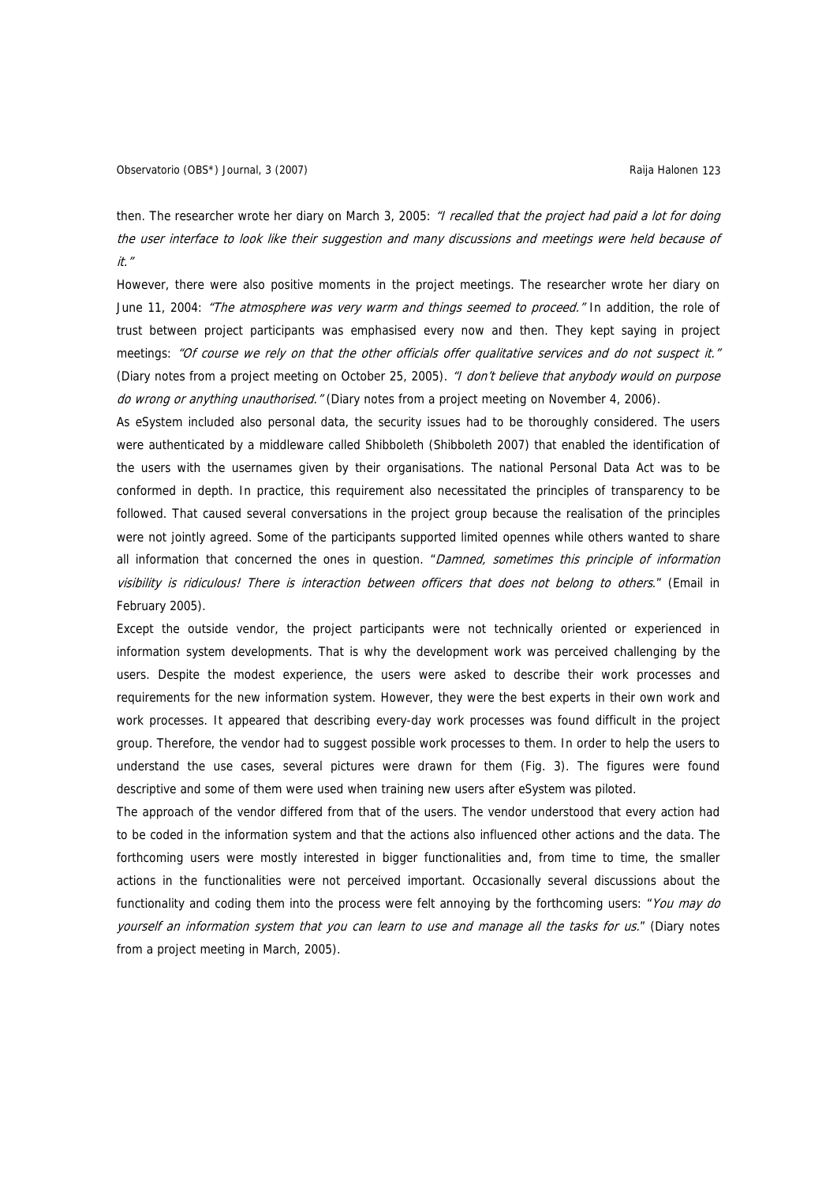# Observatorio (OBS\*) Journal, 3 (2007) Charles Controller and Controller and Controller and Controller and Controller and Controller and Controller and Controller and Controller and Controller and Controller and Controller

then. The researcher wrote her diary on March 3, 2005: "I recalled that the project had paid a lot for doing the user interface to look like their suggestion and many discussions and meetings were held because of it."

However, there were also positive moments in the project meetings. The researcher wrote her diary on June 11, 2004: "The atmosphere was very warm and things seemed to proceed." In addition, the role of trust between project participants was emphasised every now and then. They kept saying in project meetings: "Of course we rely on that the other officials offer qualitative services and do not suspect it." (Diary notes from a project meeting on October 25, 2005). "I don't believe that anybody would on purpose do wrong or anything unauthorised." (Diary notes from a project meeting on November 4, 2006).

As eSystem included also personal data, the security issues had to be thoroughly considered. The users were authenticated by a middleware called Shibboleth (Shibboleth 2007) that enabled the identification of the users with the usernames given by their organisations. The national Personal Data Act was to be conformed in depth. In practice, this requirement also necessitated the principles of transparency to be followed. That caused several conversations in the project group because the realisation of the principles were not jointly agreed. Some of the participants supported limited opennes while others wanted to share all information that concerned the ones in question. "Damned, sometimes this principle of information visibility is ridiculous! There is interaction between officers that does not belong to others." (Email in February 2005).

Except the outside vendor, the project participants were not technically oriented or experienced in information system developments. That is why the development work was perceived challenging by the users. Despite the modest experience, the users were asked to describe their work processes and requirements for the new information system. However, they were the best experts in their own work and work processes. It appeared that describing every-day work processes was found difficult in the project group. Therefore, the vendor had to suggest possible work processes to them. In order to help the users to understand the use cases, several pictures were drawn for them (Fig. 3). The figures were found descriptive and some of them were used when training new users after eSystem was piloted.

The approach of the vendor differed from that of the users. The vendor understood that every action had to be coded in the information system and that the actions also influenced other actions and the data. The forthcoming users were mostly interested in bigger functionalities and, from time to time, the smaller actions in the functionalities were not perceived important. Occasionally several discussions about the functionality and coding them into the process were felt annoying by the forthcoming users: "You may do yourself an information system that you can learn to use and manage all the tasks for us." (Diary notes from a project meeting in March, 2005).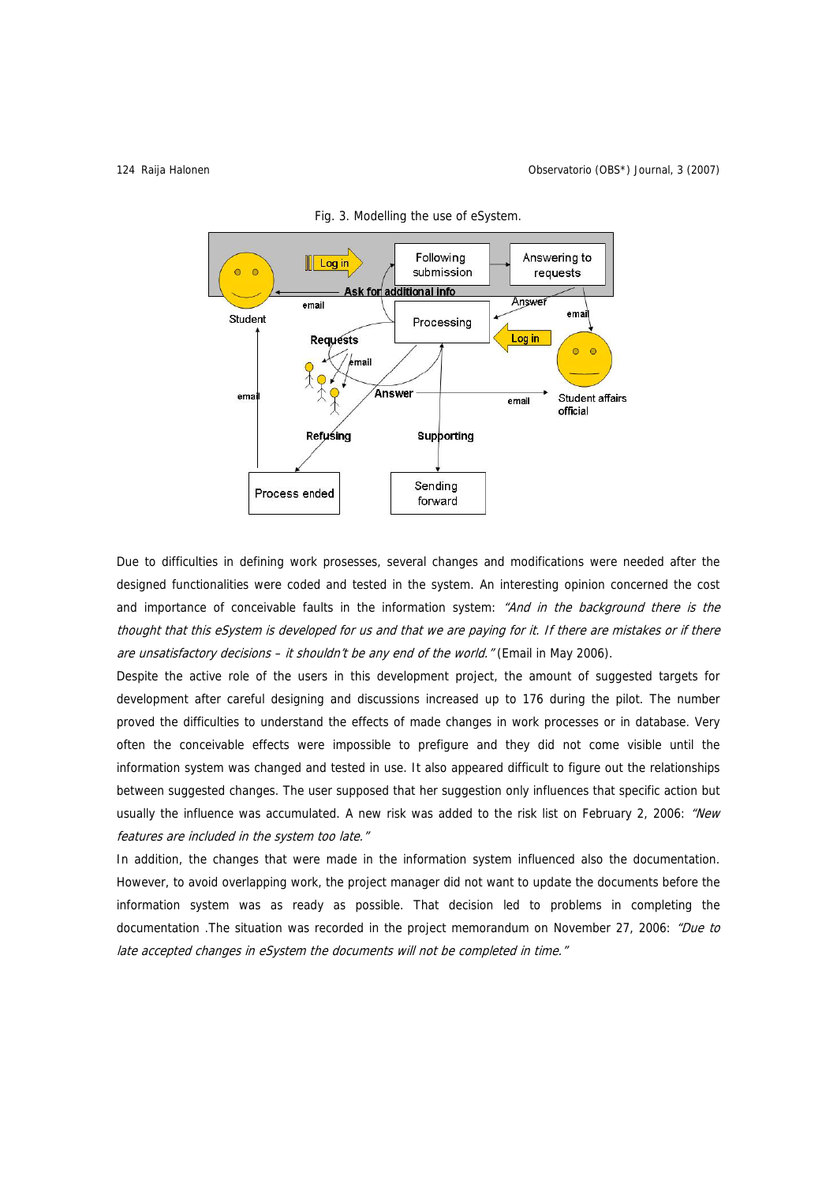



Due to difficulties in defining work prosesses, several changes and modifications were needed after the designed functionalities were coded and tested in the system. An interesting opinion concerned the cost and importance of conceivable faults in the information system: "And in the background there is the thought that this eSystem is developed for us and that we are paying for it. If there are mistakes or if there are unsatisfactory decisions - it shouldn't be any end of the world." (Email in May 2006).

Despite the active role of the users in this development project, the amount of suggested targets for development after careful designing and discussions increased up to 176 during the pilot. The number proved the difficulties to understand the effects of made changes in work processes or in database. Very often the conceivable effects were impossible to prefigure and they did not come visible until the information system was changed and tested in use. It also appeared difficult to figure out the relationships between suggested changes. The user supposed that her suggestion only influences that specific action but usually the influence was accumulated. A new risk was added to the risk list on February 2, 2006: "New features are included in the system too late."

In addition, the changes that were made in the information system influenced also the documentation. However, to avoid overlapping work, the project manager did not want to update the documents before the information system was as ready as possible. That decision led to problems in completing the documentation .The situation was recorded in the project memorandum on November 27, 2006: "Due to late accepted changes in eSystem the documents will not be completed in time."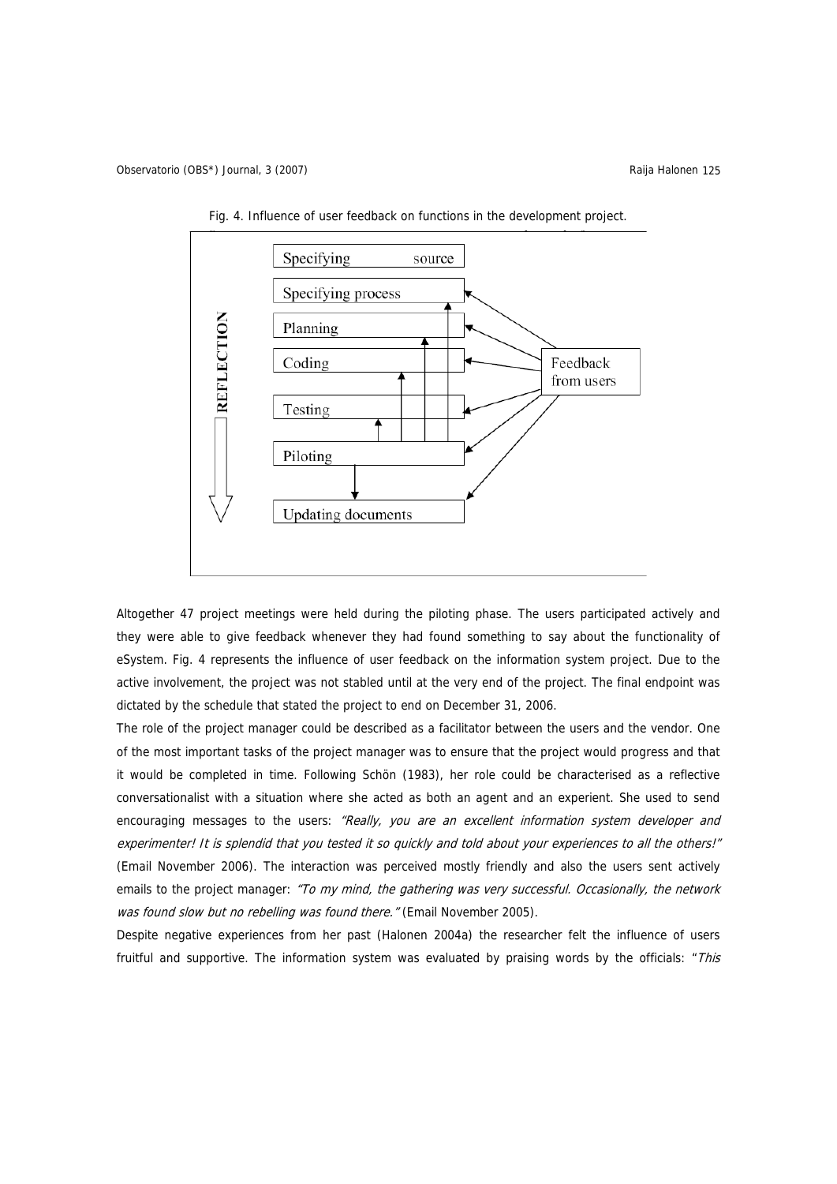

Fig. 4. Influence of user feedback on functions in the development project.

Altogether 47 project meetings were held during the piloting phase. The users participated actively and they were able to give feedback whenever they had found something to say about the functionality of eSystem. Fig. 4 represents the influence of user feedback on the information system project. Due to the active involvement, the project was not stabled until at the very end of the project. The final endpoint was dictated by the schedule that stated the project to end on December 31, 2006.

The role of the project manager could be described as a facilitator between the users and the vendor. One of the most important tasks of the project manager was to ensure that the project would progress and that it would be completed in time. Following Schön (1983), her role could be characterised as a reflective conversationalist with a situation where she acted as both an agent and an experient. She used to send encouraging messages to the users: "Really, you are an excellent information system developer and experimenter! It is splendid that you tested it so quickly and told about your experiences to all the others!" (Email November 2006). The interaction was perceived mostly friendly and also the users sent actively emails to the project manager: "To my mind, the gathering was very successful. Occasionally, the network was found slow but no rebelling was found there." (Email November 2005).

Despite negative experiences from her past (Halonen 2004a) the researcher felt the influence of users fruitful and supportive. The information system was evaluated by praising words by the officials: "This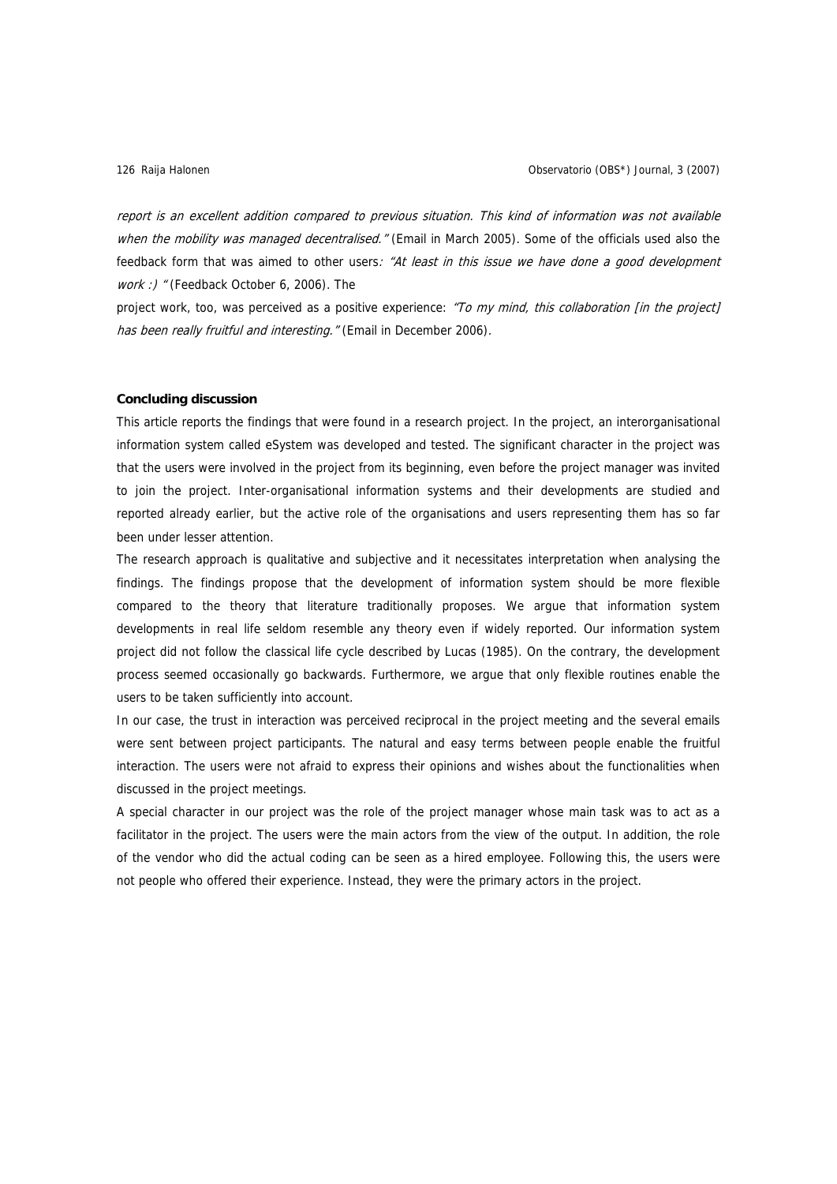report is an excellent addition compared to previous situation. This kind of information was not available when the mobility was managed decentralised." (Email in March 2005). Some of the officials used also the feedback form that was aimed to other users: "At least in this issue we have done a good development work :) " (Feedback October 6, 2006). The

project work, too, was perceived as a positive experience: "To my mind, this collaboration [in the project] has been really fruitful and interesting." (Email in December 2006).

## **Concluding discussion**

This article reports the findings that were found in a research project. In the project, an interorganisational information system called eSystem was developed and tested. The significant character in the project was that the users were involved in the project from its beginning, even before the project manager was invited to join the project. Inter-organisational information systems and their developments are studied and reported already earlier, but the active role of the organisations and users representing them has so far been under lesser attention.

The research approach is qualitative and subjective and it necessitates interpretation when analysing the findings. The findings propose that the development of information system should be more flexible compared to the theory that literature traditionally proposes. We argue that information system developments in real life seldom resemble any theory even if widely reported. Our information system project did not follow the classical life cycle described by Lucas (1985). On the contrary, the development process seemed occasionally go backwards. Furthermore, we argue that only flexible routines enable the users to be taken sufficiently into account.

In our case, the trust in interaction was perceived reciprocal in the project meeting and the several emails were sent between project participants. The natural and easy terms between people enable the fruitful interaction. The users were not afraid to express their opinions and wishes about the functionalities when discussed in the project meetings.

A special character in our project was the role of the project manager whose main task was to act as a facilitator in the project. The users were the main actors from the view of the output. In addition, the role of the vendor who did the actual coding can be seen as a hired employee. Following this, the users were not people who offered their experience. Instead, they were the primary actors in the project.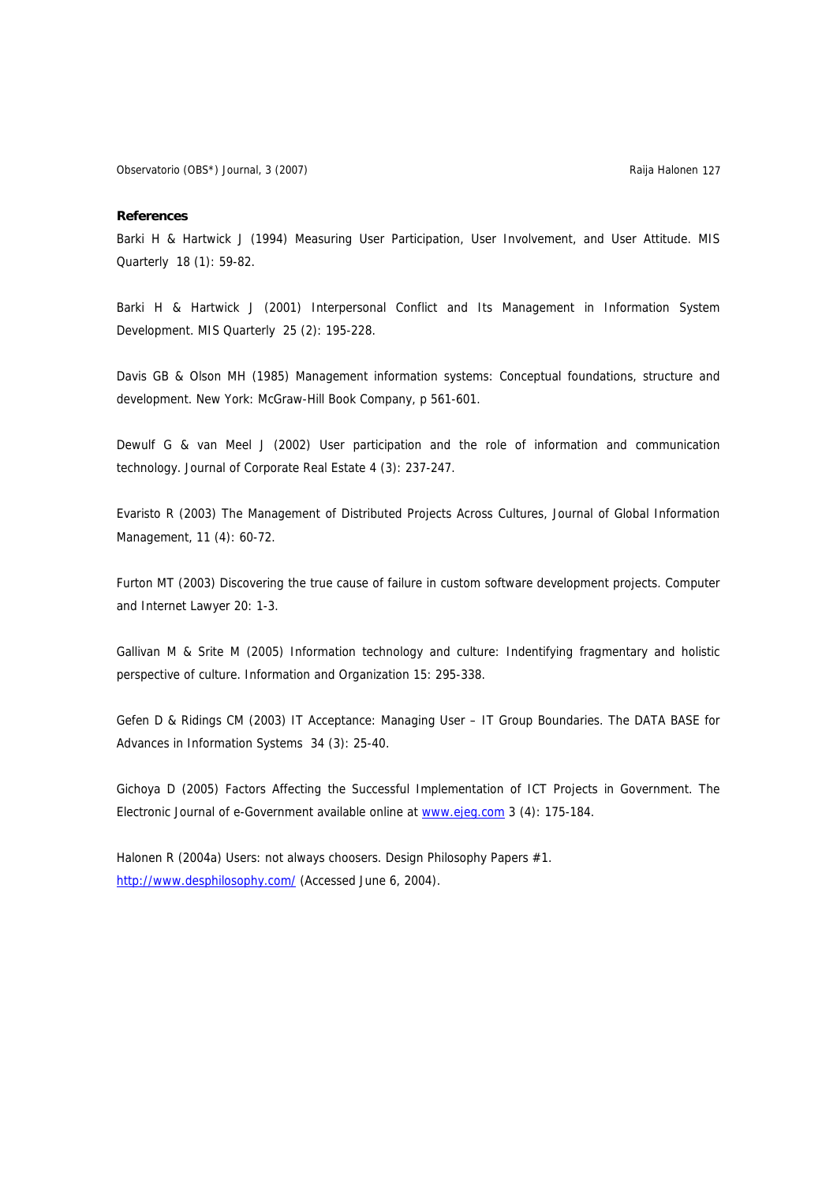Observatorio (OBS\*) Journal, 3 (2007) <br>
Raija Halonen 127

## **References**

Barki H & Hartwick J (1994) Measuring User Participation, User Involvement, and User Attitude. MIS Quarterly 18 (1): 59-82.

Barki H & Hartwick J (2001) Interpersonal Conflict and Its Management in Information System Development. MIS Quarterly 25 (2): 195-228.

Davis GB & Olson MH (1985) Management information systems: Conceptual foundations, structure and development. New York: McGraw-Hill Book Company, p 561-601.

Dewulf G & van Meel J (2002) User participation and the role of information and communication technology. Journal of Corporate Real Estate 4 (3): 237-247.

Evaristo R (2003) The Management of Distributed Projects Across Cultures, Journal of Global Information Management, 11 (4): 60-72.

Furton MT (2003) Discovering the true cause of failure in custom software development projects. Computer and Internet Lawyer 20: 1-3.

Gallivan M & Srite M (2005) Information technology and culture: Indentifying fragmentary and holistic perspective of culture. Information and Organization 15: 295-338.

Gefen D & Ridings CM (2003) IT Acceptance: Managing User – IT Group Boundaries. The DATA BASE for Advances in Information Systems 34 (3): 25-40.

Gichoya D (2005) Factors Affecting the Successful Implementation of ICT Projects in Government. The Electronic Journal of e-Government available online at [www.ejeg.com](http://www.ejeg.com/) 3 (4): 175-184.

Halonen R (2004a) Users: not always choosers. Design Philosophy Papers #1. <http://www.desphilosophy.com/>(Accessed June 6, 2004).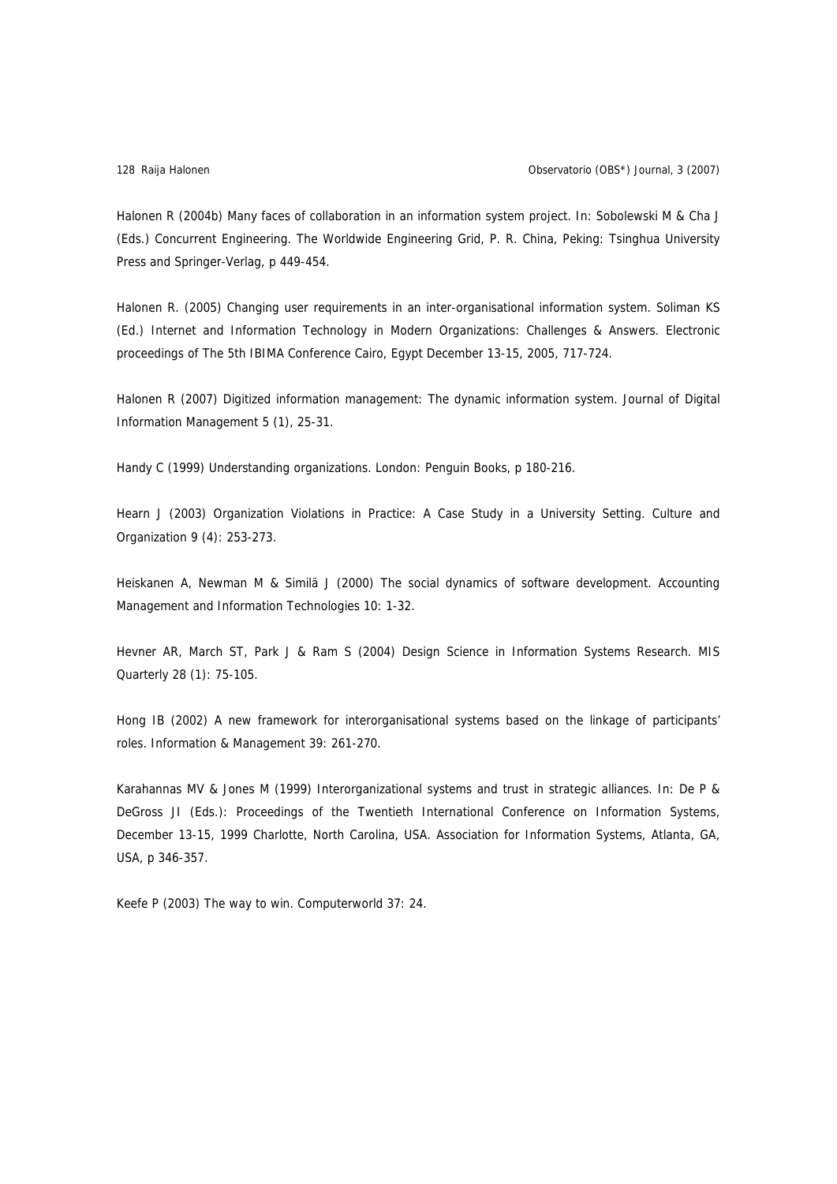Halonen R (2004b) Many faces of collaboration in an information system project. In: Sobolewski M & Cha J (Eds.) Concurrent Engineering. The Worldwide Engineering Grid, P. R. China, Peking: Tsinghua University Press and Springer-Verlag, p 449-454.

Halonen R. (2005) Changing user requirements in an inter-organisational information system. Soliman KS (Ed.) Internet and Information Technology in Modern Organizations: Challenges & Answers. Electronic proceedings of The 5th IBIMA Conference Cairo, Egypt December 13-15, 2005, 717-724.

Halonen R (2007) Digitized information management: The dynamic information system. Journal of Digital Information Management 5 (1), 25-31.

Handy C (1999) Understanding organizations. London: Penguin Books, p 180-216.

Hearn J (2003) Organization Violations in Practice: A Case Study in a University Setting. Culture and Organization 9 (4): 253-273.

Heiskanen A, Newman M & Similä J (2000) The social dynamics of software development. Accounting Management and Information Technologies 10: 1-32.

Hevner AR, March ST, Park J & Ram S (2004) Design Science in Information Systems Research. MIS Quarterly 28 (1): 75-105.

Hong IB (2002) A new framework for interorganisational systems based on the linkage of participants' roles. Information & Management 39: 261-270.

Karahannas MV & Jones M (1999) Interorganizational systems and trust in strategic alliances. In: De P & DeGross JI (Eds.): Proceedings of the Twentieth International Conference on Information Systems, December 13-15, 1999 Charlotte, North Carolina, USA. Association for Information Systems, Atlanta, GA, USA, p 346-357.

Keefe P (2003) The way to win. Computerworld 37: 24.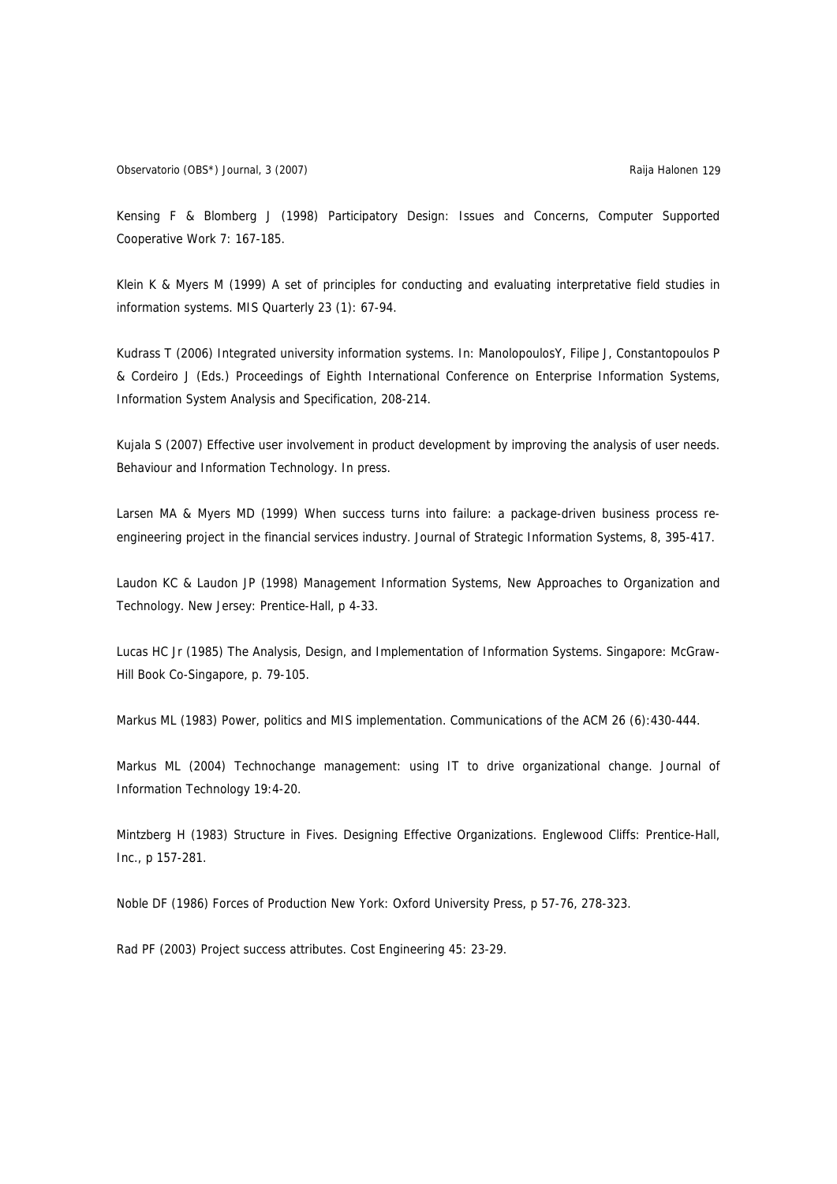Observatorio (OBS\*) Journal, 3 (2007) Raija Halonen 129

Kensing F & Blomberg J (1998) Participatory Design: Issues and Concerns, Computer Supported Cooperative Work 7: 167-185.

Klein K & Myers M (1999) A set of principles for conducting and evaluating interpretative field studies in information systems. MIS Quarterly 23 (1): 67-94.

Kudrass T (2006) Integrated university information systems. In: ManolopoulosY, Filipe J, Constantopoulos P & Cordeiro J (Eds.) Proceedings of Eighth International Conference on Enterprise Information Systems, Information System Analysis and Specification, 208-214.

Kujala S (2007) Effective user involvement in product development by improving the analysis of user needs. Behaviour and Information Technology. In press.

Larsen MA & Myers MD (1999) When success turns into failure: a package-driven business process reengineering project in the financial services industry. Journal of Strategic Information Systems, 8, 395-417.

Laudon KC & Laudon JP (1998) Management Information Systems, New Approaches to Organization and Technology. New Jersey: Prentice-Hall, p 4-33.

Lucas HC Jr (1985) The Analysis, Design, and Implementation of Information Systems. Singapore: McGraw-Hill Book Co-Singapore, p. 79-105.

Markus ML (1983) Power, politics and MIS implementation. Communications of the ACM 26 (6):430-444.

Markus ML (2004) Technochange management: using IT to drive organizational change. Journal of Information Technology 19:4-20.

Mintzberg H (1983) Structure in Fives. Designing Effective Organizations. Englewood Cliffs: Prentice-Hall, Inc., p 157-281.

Noble DF (1986) Forces of Production New York: Oxford University Press, p 57-76, 278-323.

Rad PF (2003) Project success attributes. Cost Engineering 45: 23-29.